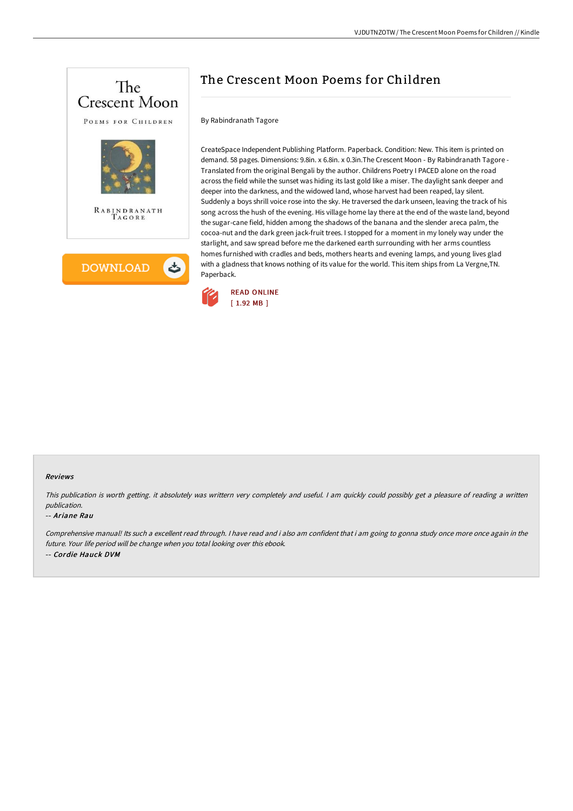

# The Crescent Moon Poems for Children

## By Rabindranath Tagore

CreateSpace Independent Publishing Platform. Paperback. Condition: New. This item is printed on demand. 58 pages. Dimensions: 9.8in. x 6.8in. x 0.3in.The Crescent Moon - By Rabindranath Tagore - Translated from the original Bengali by the author. Childrens Poetry I PACED alone on the road across the field while the sunset was hiding its last gold like a miser. The daylight sank deeper and deeper into the darkness, and the widowed land, whose harvest had been reaped, lay silent. Suddenly a boys shrill voice rose into the sky. He traversed the dark unseen, leaving the track of his song across the hush of the evening. His village home lay there at the end of the waste land, beyond the sugar-cane field, hidden among the shadows of the banana and the slender areca palm, the cocoa-nut and the dark green jack-fruit trees. I stopped for a moment in my lonely way under the starlight, and saw spread before me the darkened earth surrounding with her arms countless homes furnished with cradles and beds, mothers hearts and evening lamps, and young lives glad with a gladness that knows nothing of its value for the world. This item ships from La Vergne,TN. Paperback.



#### Reviews

This publication is worth getting. it absolutely was writtern very completely and useful. I am quickly could possibly get a pleasure of reading a written publication.

#### -- Ariane Rau

Comprehensive manual! Its such <sup>a</sup> excellent read through. <sup>I</sup> have read and i also am confident that i am going to gonna study once more once again in the future. Your life period will be change when you total looking over this ebook. -- Cordie Hauck DVM